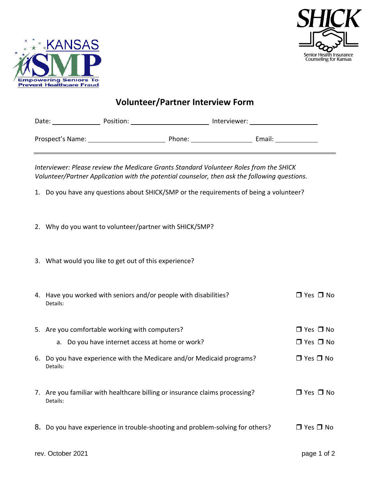



## **Volunteer/Partner Interview Form**

| Date:            | Position: |        | Interviewer: |        |
|------------------|-----------|--------|--------------|--------|
| Prospect's Name: |           | Phone: |              | Email: |

*Interviewer: Please review the Medicare Grants Standard Volunteer Roles from the SHICK Volunteer/Partner Application with the potential counselor, then ask the following questions.*

- 1. Do you have any questions about SHICK/SMP or the requirements of being a volunteer?
- 2. Why do you want to volunteer/partner with SHICK/SMP?
- 3. What would you like to get out of this experience?

| 4. Have you worked with seniors and/or people with disabilities?<br>Details:            | $\Box$ Yes $\Box$ No |
|-----------------------------------------------------------------------------------------|----------------------|
| 5. Are you comfortable working with computers?                                          | $\Box$ Yes $\Box$ No |
| a. Do you have internet access at home or work?                                         | $\Box$ Yes $\Box$ No |
| 6. Do you have experience with the Medicare and/or Medicaid programs?<br>Details:       | $\Box$ Yes $\Box$ No |
| 7. Are you familiar with healthcare billing or insurance claims processing?<br>Details: | $\Box$ Yes $\Box$ No |
| 8. Do you have experience in trouble-shooting and problem-solving for others?           | $\Box$ Yes $\Box$ No |